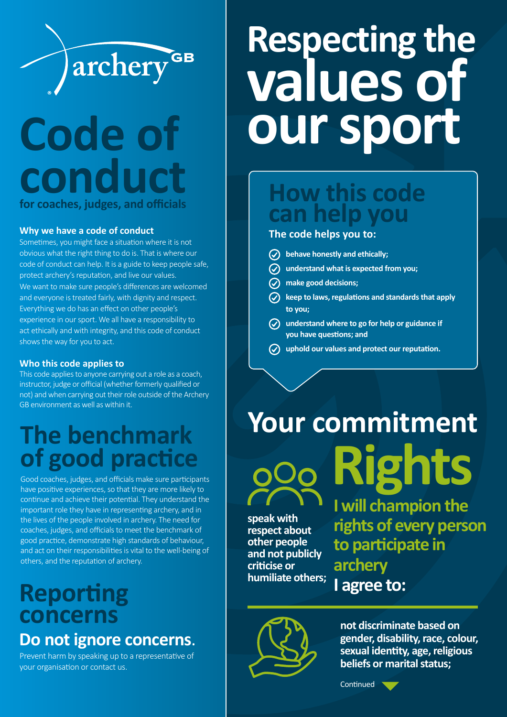

## **Code of conduct for coaches, judges, and officials**

#### **Why we have a code of conduct**

Sometimes, you might face a situation where it is not obvious what the right thing to do is. That is where our code of conduct can help. It is a guide to keep people safe, protect archery's reputation, and live our values. We want to make sure people's differences are welcomed and everyone is treated fairly, with dignity and respect. Everything we do has an effect on other people's experience in our sport. We all have a responsibility to act ethically and with integrity, and this code of conduct shows the way for you to act.

#### **Who this code applies to**

This code applies to anyone carrying out a role as a coach, instructor, judge or official (whether formerly qualified or not) and when carrying out their role outside of the Archery GB environment as well as within it.

## **The benchmark of good practice**

Good coaches, judges, and officials make sure participants have positive experiences, so that they are more likely to continue and achieve their potential. They understand the important role they have in representing archery, and in the lives of the people involved in archery. The need for coaches, judges, and officials to meet the benchmark of good practice, demonstrate high standards of behaviour, and act on their responsibilities is vital to the well-being of others, and the reputation of archery.

### **Reporting concerns Do not ignore concerns**.

Prevent harm by speaking up to a representative of your organisation or contact us.

# **Respecting the values of our sport**

### **How this code can help you**

#### **The code helps you to:**

- **behave honestly and ethically;**
- **understand what is expected from you;**
- **make good decisions;**
- **keep to laws, regulations and standards that apply to you;**
- **understand where to go for help or guidance if you have questions; and**
- **uphold our values and protect our reputation.**

# **Your commitment Rights**

**speak with respect about other people and not publicly criticise or humiliate others;**

**I will champion the rights of every person to participate in archery I agree to:**



**not discriminate based on gender, disability, race, colour, sexual identity, age, religious beliefs or marital status;**

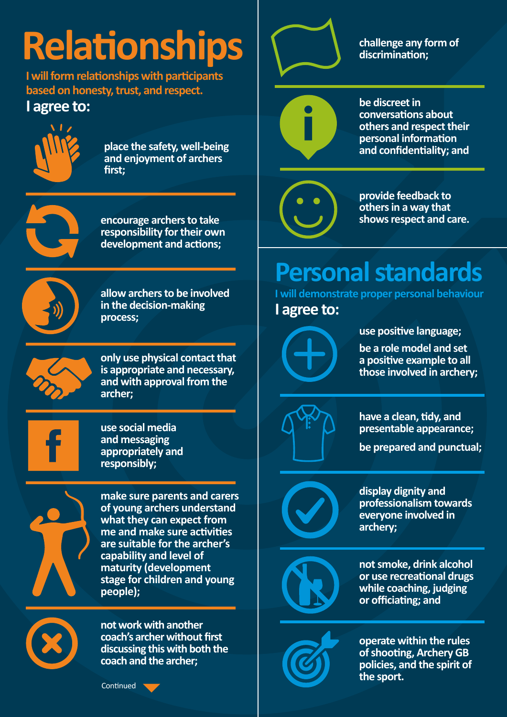# **Relationships**

**I will form relationships with participants based on honesty, trust, and respect.**

### **I agree to:**



**place the safety, well-being and enjoyment of archers first;**



**encourage archers to take responsibility for their own development and actions;**



**process;**

**allow archers to be involved** 

**in the decision-making** 

**only use physical contact that is appropriate and necessary, and with approval from the archer;**



**use social media and messaging appropriately and responsibly;** 



**make sure parents and carers of young archers understand what they can expect from me and make sure activities are suitable for the archer's capability and level of maturity (development stage for children and young people);**

**not work with another coach's archer without first discussing this with both the coach and the archer;**





**challenge any form of discrimination;**

**be discreet in conversations about others and respect their personal information and confidentiality; and**

**provide feedback to others in a way that shows respect and care.**

## **Personal standards**

**I will demonstrate proper personal behaviour I agree to:**

**use positive language;**

**be a role model and set a positive example to all those involved in archery;**



**have a clean, tidy, and presentable appearance;**

**be prepared and punctual;**



**display dignity and professionalism towards everyone involved in archery;** 



**not smoke, drink alcohol or use recreational drugs while coaching, judging or officiating; and**



**operate within the rules of shooting, Archery GB policies, and the spirit of the sport.**